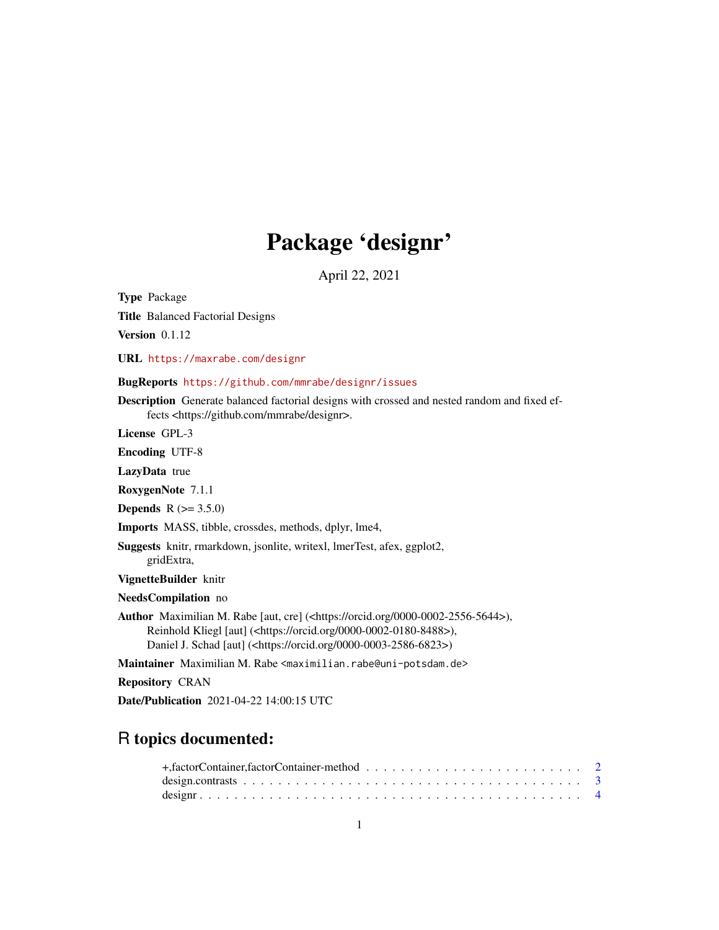# Package 'designr'

April 22, 2021

<span id="page-0-0"></span>Type Package

Title Balanced Factorial Designs

Version 0.1.12

URL <https://maxrabe.com/designr>

#### BugReports <https://github.com/mmrabe/designr/issues>

Description Generate balanced factorial designs with crossed and nested random and fixed effects <https://github.com/mmrabe/designr>.

License GPL-3

Encoding UTF-8

LazyData true

RoxygenNote 7.1.1

**Depends**  $R (= 3.5.0)$ 

Imports MASS, tibble, crossdes, methods, dplyr, lme4,

Suggests knitr, rmarkdown, jsonlite, writexl, lmerTest, afex, ggplot2, gridExtra,

VignetteBuilder knitr

NeedsCompilation no

Author Maximilian M. Rabe [aut, cre] (<https://orcid.org/0000-0002-2556-5644>), Reinhold Kliegl [aut] (<https://orcid.org/0000-0002-0180-8488>), Daniel J. Schad [aut] (<https://orcid.org/0000-0003-2586-6823>)

Maintainer Maximilian M. Rabe <maximilian.rabe@uni-potsdam.de>

Repository CRAN

Date/Publication 2021-04-22 14:00:15 UTC

# R topics documented: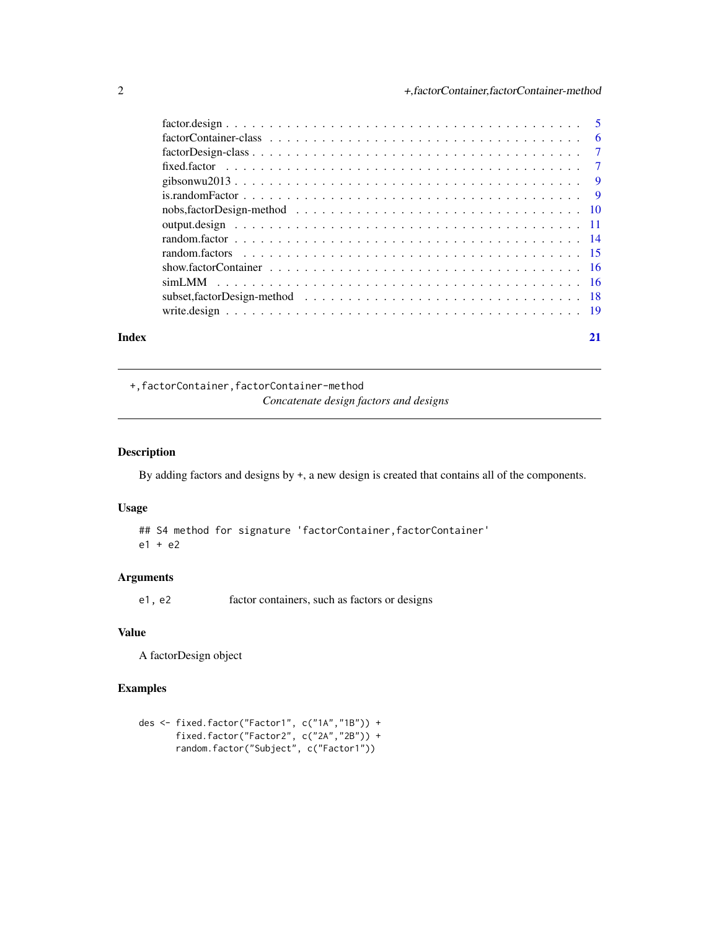<span id="page-1-0"></span>

| Index | 21 |
|-------|----|

+,factorContainer,factorContainer-method *Concatenate design factors and designs*

#### Description

By adding factors and designs by +, a new design is created that contains all of the components.

#### Usage

## S4 method for signature 'factorContainer, factorContainer' e1 + e2

#### Arguments

e1, e2 factor containers, such as factors or designs

#### Value

A factorDesign object

#### Examples

```
des <- fixed.factor("Factor1", c("1A","1B")) +
       fixed.factor("Factor2", c("2A","2B")) +
      random.factor("Subject", c("Factor1"))
```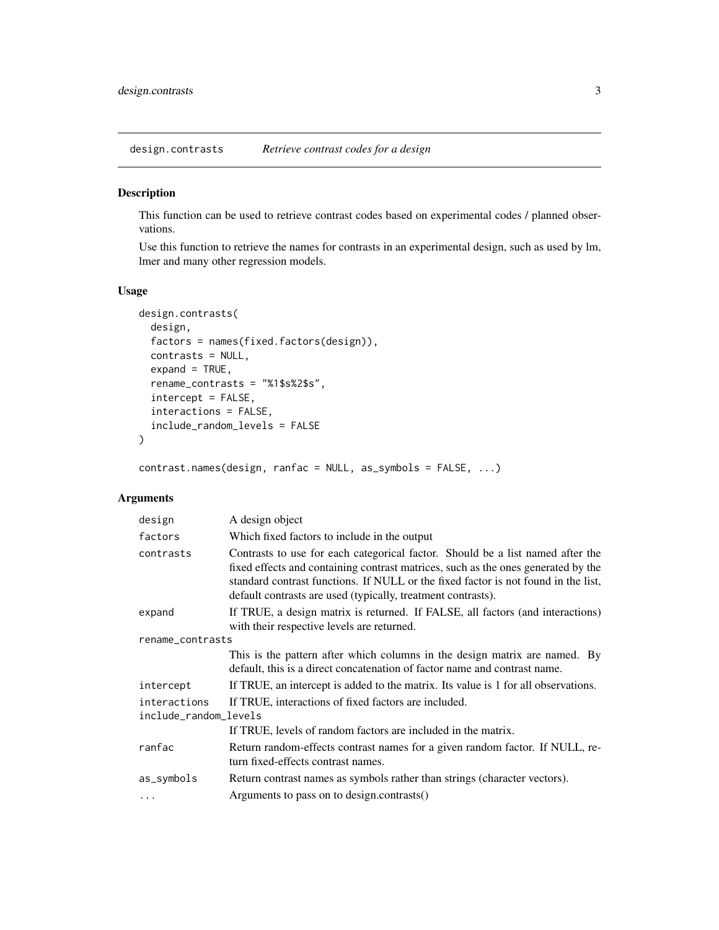<span id="page-2-0"></span>design.contrasts *Retrieve contrast codes for a design*

#### Description

This function can be used to retrieve contrast codes based on experimental codes / planned observations.

Use this function to retrieve the names for contrasts in an experimental design, such as used by lm, lmer and many other regression models.

#### Usage

```
design.contrasts(
  design,
  factors = names(fixed.factors(design)),
  contrasts = NULL,
  expand = TRUE,rename_contrasts = "%1$s%2$s",
  intercept = FALSE,
  interactions = FALSE,
  include_random_levels = FALSE
\mathcal{L}
```
contrast.names(design, ranfac = NULL, as\_symbols = FALSE, ...)

#### Arguments

| design                | A design object                                                                                                                                                                                                                                                                                                           |
|-----------------------|---------------------------------------------------------------------------------------------------------------------------------------------------------------------------------------------------------------------------------------------------------------------------------------------------------------------------|
| factors               | Which fixed factors to include in the output                                                                                                                                                                                                                                                                              |
| contrasts             | Contrasts to use for each categorical factor. Should be a list named after the<br>fixed effects and containing contrast matrices, such as the ones generated by the<br>standard contrast functions. If NULL or the fixed factor is not found in the list,<br>default contrasts are used (typically, treatment contrasts). |
| expand                | If TRUE, a design matrix is returned. If FALSE, all factors (and interactions)<br>with their respective levels are returned.                                                                                                                                                                                              |
| rename_contrasts      |                                                                                                                                                                                                                                                                                                                           |
|                       | This is the pattern after which columns in the design matrix are named. By<br>default, this is a direct concatenation of factor name and contrast name.                                                                                                                                                                   |
| intercept             | If TRUE, an intercept is added to the matrix. Its value is 1 for all observations.                                                                                                                                                                                                                                        |
| interactions          | If TRUE, interactions of fixed factors are included.                                                                                                                                                                                                                                                                      |
| include_random_levels |                                                                                                                                                                                                                                                                                                                           |
|                       | If TRUE, levels of random factors are included in the matrix.                                                                                                                                                                                                                                                             |
| ranfac                | Return random-effects contrast names for a given random factor. If NULL, re-<br>turn fixed-effects contrast names.                                                                                                                                                                                                        |
| as_symbols            | Return contrast names as symbols rather than strings (character vectors).                                                                                                                                                                                                                                                 |
| $\ddotsc$             | Arguments to pass on to design.contrasts()                                                                                                                                                                                                                                                                                |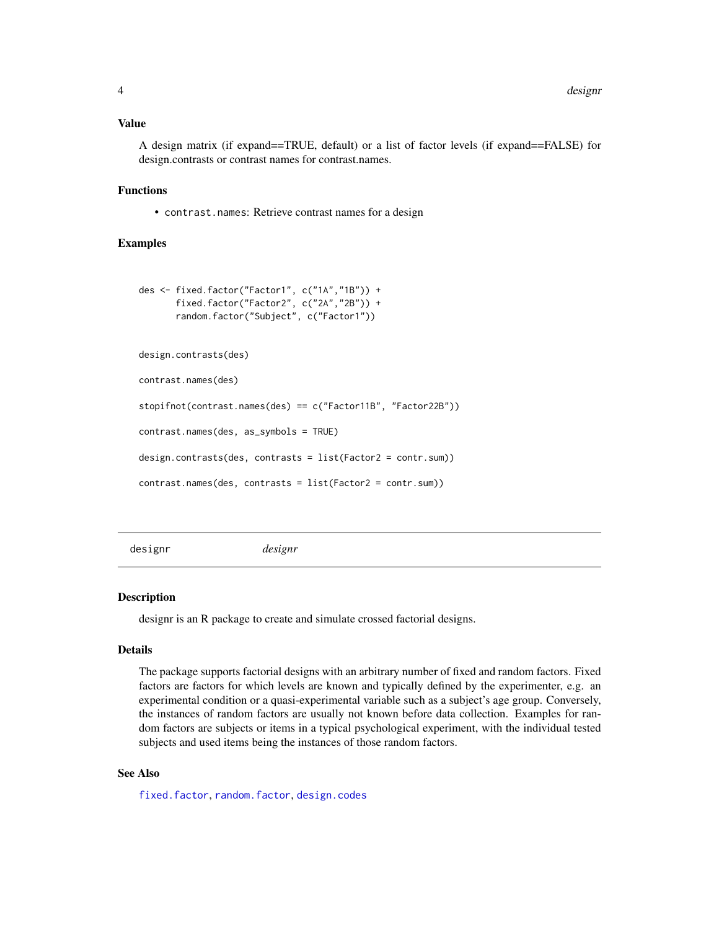#### <span id="page-3-0"></span>Value

A design matrix (if expand==TRUE, default) or a list of factor levels (if expand==FALSE) for design.contrasts or contrast names for contrast.names.

#### Functions

• contrast.names: Retrieve contrast names for a design

#### Examples

```
des <- fixed.factor("Factor1", c("1A","1B")) +
      fixed.factor("Factor2", c("2A","2B")) +
      random.factor("Subject", c("Factor1"))
design.contrasts(des)
contrast.names(des)
stopifnot(contrast.names(des) == c("Factor11B", "Factor22B"))
contrast.names(des, as_symbols = TRUE)
design.contrasts(des, contrasts = list(Factor2 = contr.sum))
contrast.names(des, contrasts = list(Factor2 = contr.sum))
```
designr *designr*

#### Description

designr is an R package to create and simulate crossed factorial designs.

#### Details

The package supports factorial designs with an arbitrary number of fixed and random factors. Fixed factors are factors for which levels are known and typically defined by the experimenter, e.g. an experimental condition or a quasi-experimental variable such as a subject's age group. Conversely, the instances of random factors are usually not known before data collection. Examples for random factors are subjects or items in a typical psychological experiment, with the individual tested subjects and used items being the instances of those random factors.

#### See Also

[fixed.factor](#page-6-1), [random.factor](#page-13-1), [design.codes](#page-10-1)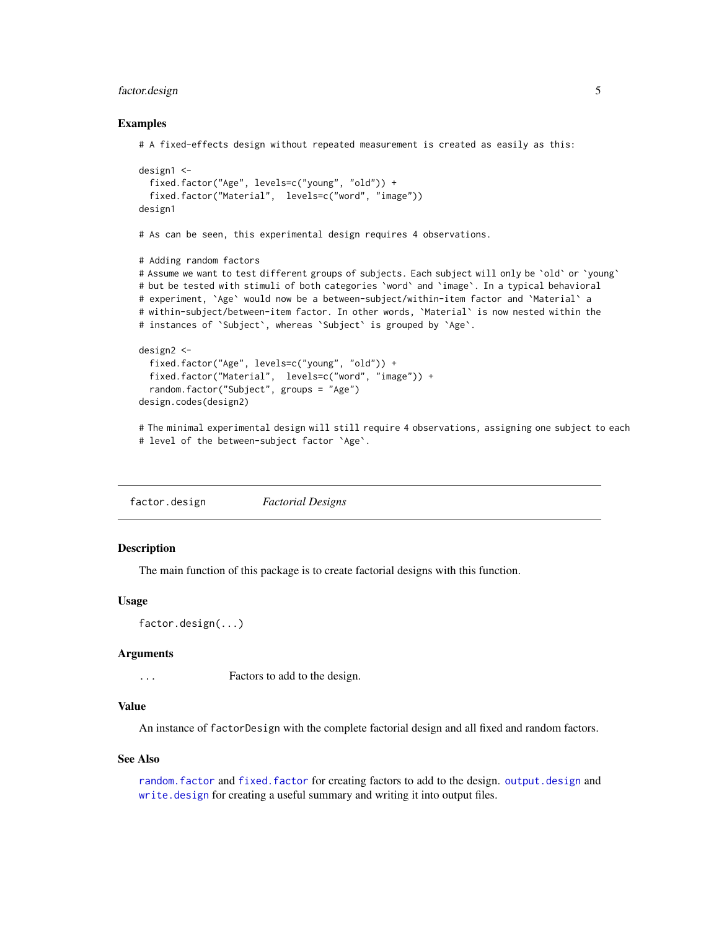#### <span id="page-4-0"></span>factor.design 5

#### Examples

```
# A fixed-effects design without repeated measurement is created as easily as this:
design1 <-
 fixed.factor("Age", levels=c("young", "old")) +
 fixed.factor("Material", levels=c("word", "image"))
design1
```
# As can be seen, this experimental design requires 4 observations.

```
# Adding random factors
```
# Assume we want to test different groups of subjects. Each subject will only be 'old' or 'young' # but be tested with stimuli of both categories `word` and `image`. In a typical behavioral # experiment, `Age` would now be a between-subject/within-item factor and `Material` a # within-subject/between-item factor. In other words, `Material` is now nested within the # instances of `Subject`, whereas `Subject` is grouped by `Age`.

```
design2 <-
 fixed.factor("Age", levels=c("young", "old")) +
 fixed.factor("Material", levels=c("word", "image")) +
 random.factor("Subject", groups = "Age")
design.codes(design2)
```
# The minimal experimental design will still require 4 observations, assigning one subject to each # level of the between-subject factor `Age`.

factor.design *Factorial Designs*

#### **Description**

The main function of this package is to create factorial designs with this function.

#### Usage

```
factor.design(...)
```
#### Arguments

... Factors to add to the design.

#### Value

An instance of factorDesign with the complete factorial design and all fixed and random factors.

#### See Also

[random.factor](#page-13-1) and [fixed.factor](#page-6-1) for creating factors to add to the design. [output.design](#page-10-2) and [write.design](#page-18-1) for creating a useful summary and writing it into output files.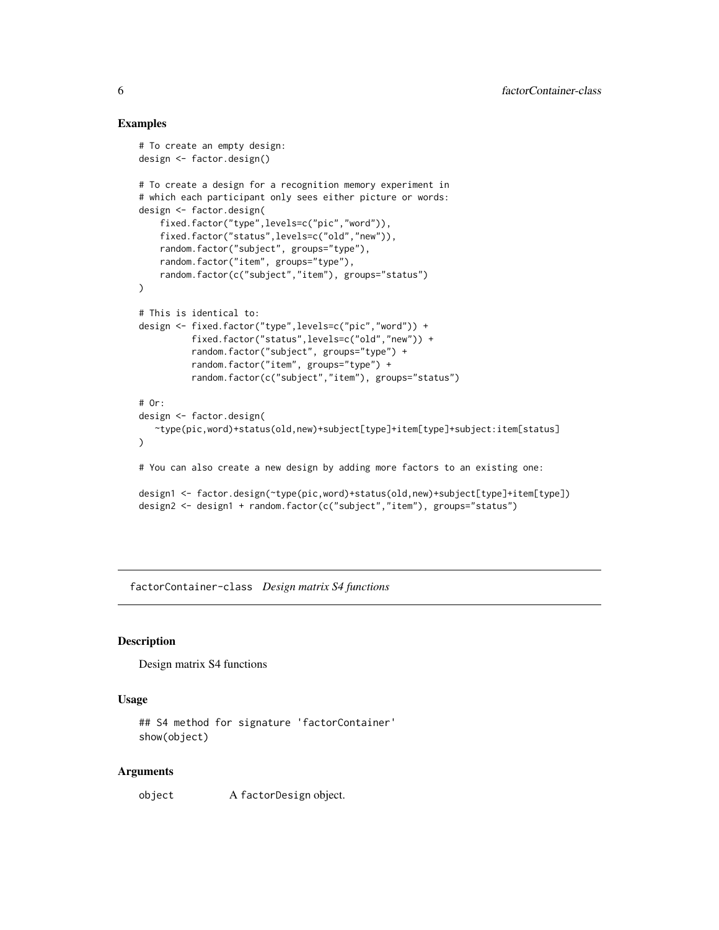#### Examples

```
# To create an empty design:
design <- factor.design()
# To create a design for a recognition memory experiment in
# which each participant only sees either picture or words:
design <- factor.design(
    fixed.factor("type",levels=c("pic","word")),
    fixed.factor("status",levels=c("old","new")),
   random.factor("subject", groups="type"),
   random.factor("item", groups="type"),
   random.factor(c("subject","item"), groups="status")
)
# This is identical to:
design <- fixed.factor("type",levels=c("pic","word")) +
          fixed.factor("status",levels=c("old","new")) +
          random.factor("subject", groups="type") +
          random.factor("item", groups="type") +
          random.factor(c("subject","item"), groups="status")
# Or:
design <- factor.design(
   ~type(pic,word)+status(old,new)+subject[type]+item[type]+subject:item[status]
)
# You can also create a new design by adding more factors to an existing one:
design1 <- factor.design(~type(pic,word)+status(old,new)+subject[type]+item[type])
design2 <- design1 + random.factor(c("subject","item"), groups="status")
```
factorContainer-class *Design matrix S4 functions*

#### **Description**

Design matrix S4 functions

#### Usage

```
## S4 method for signature 'factorContainer'
show(object)
```
#### Arguments

object A factorDesign object.

<span id="page-5-0"></span>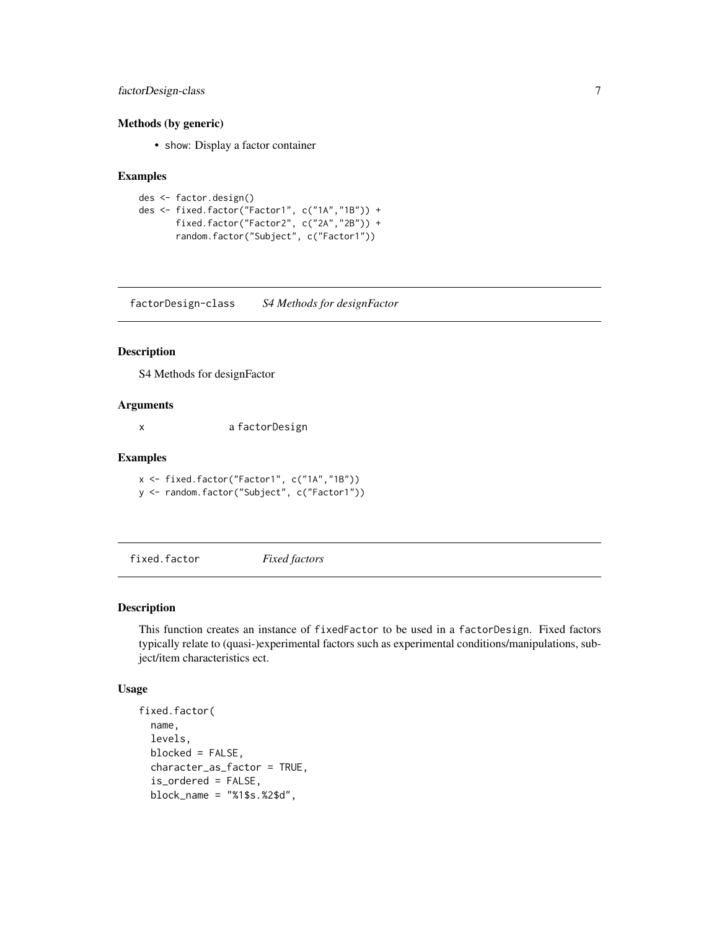#### <span id="page-6-0"></span>factorDesign-class 7

#### Methods (by generic)

• show: Display a factor container

#### Examples

```
des <- factor.design()
des <- fixed.factor("Factor1", c("1A","1B")) +
       fixed.factor("Factor2", c("2A","2B")) +
       random.factor("Subject", c("Factor1"))
```
factorDesign-class *S4 Methods for designFactor*

#### Description

S4 Methods for designFactor

#### Arguments

x a factorDesign

#### Examples

x <- fixed.factor("Factor1", c("1A","1B")) y <- random.factor("Subject", c("Factor1"))

<span id="page-6-1"></span>fixed.factor *Fixed factors*

#### Description

This function creates an instance of fixedFactor to be used in a factorDesign. Fixed factors typically relate to (quasi-)experimental factors such as experimental conditions/manipulations, subject/item characteristics ect.

#### Usage

```
fixed.factor(
 name,
  levels,
 blocked = FALSE,
  character_as_factor = TRUE,
  is_ordered = FALSE,
 block_name = "%1$s.%2$d",
```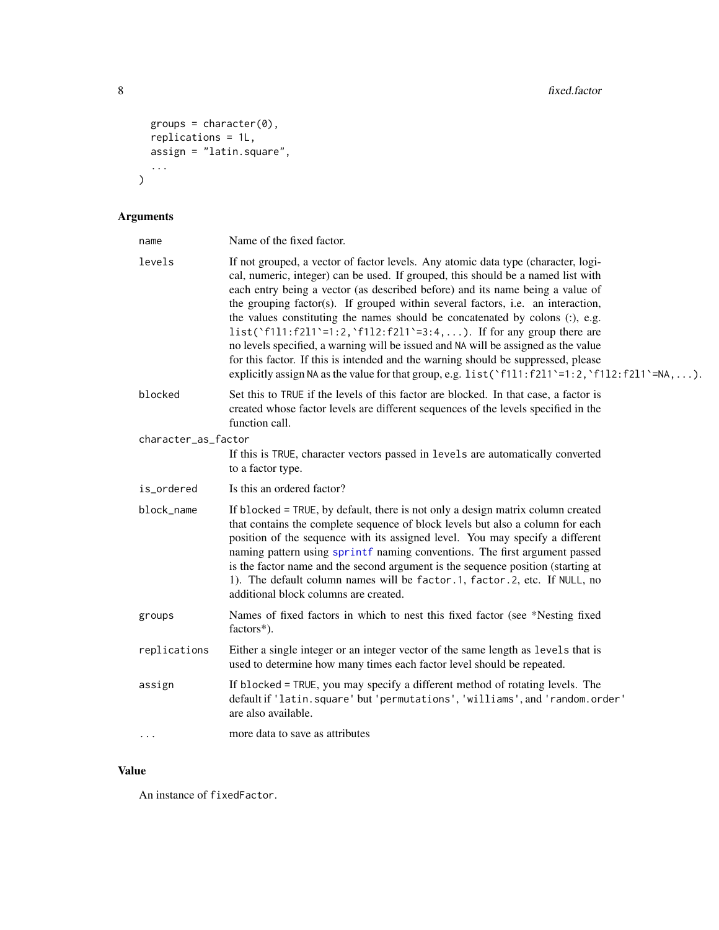```
groups = character(0),
 replications = 1L,
 assign = "latin.square",
  ...
\mathcal{L}
```
# Arguments

| name                | Name of the fixed factor.                                                                                                                                                                                                                                                                                                                                                                                                                                                                                                                                                                                                                                                                                                                                                     |
|---------------------|-------------------------------------------------------------------------------------------------------------------------------------------------------------------------------------------------------------------------------------------------------------------------------------------------------------------------------------------------------------------------------------------------------------------------------------------------------------------------------------------------------------------------------------------------------------------------------------------------------------------------------------------------------------------------------------------------------------------------------------------------------------------------------|
| levels              | If not grouped, a vector of factor levels. Any atomic data type (character, logi-<br>cal, numeric, integer) can be used. If grouped, this should be a named list with<br>each entry being a vector (as described before) and its name being a value of<br>the grouping factor(s). If grouped within several factors, i.e. an interaction,<br>the values constituting the names should be concatenated by colons (:), e.g.<br>list('f1l1:f2l1'=1:2,'f1l2:f2l1'=3:4,). If for any group there are<br>no levels specified, a warning will be issued and NA will be assigned as the value<br>for this factor. If this is intended and the warning should be suppressed, please<br>explicitly assign NA as the value for that group, e.g. $list('f111:f211'=1:2,'f112:f211'=NA,).$ |
| blocked             | Set this to TRUE if the levels of this factor are blocked. In that case, a factor is<br>created whose factor levels are different sequences of the levels specified in the<br>function call.                                                                                                                                                                                                                                                                                                                                                                                                                                                                                                                                                                                  |
| character_as_factor |                                                                                                                                                                                                                                                                                                                                                                                                                                                                                                                                                                                                                                                                                                                                                                               |
|                     | If this is TRUE, character vectors passed in levels are automatically converted<br>to a factor type.                                                                                                                                                                                                                                                                                                                                                                                                                                                                                                                                                                                                                                                                          |
| is_ordered          | Is this an ordered factor?                                                                                                                                                                                                                                                                                                                                                                                                                                                                                                                                                                                                                                                                                                                                                    |
| block_name          | If blocked = TRUE, by default, there is not only a design matrix column created<br>that contains the complete sequence of block levels but also a column for each<br>position of the sequence with its assigned level. You may specify a different<br>naming pattern using sprintf naming conventions. The first argument passed<br>is the factor name and the second argument is the sequence position (starting at<br>1). The default column names will be factor.1, factor.2, etc. If NULL, no<br>additional block columns are created.                                                                                                                                                                                                                                    |
| groups              | Names of fixed factors in which to nest this fixed factor (see *Nesting fixed<br>factors*).                                                                                                                                                                                                                                                                                                                                                                                                                                                                                                                                                                                                                                                                                   |
| replications        | Either a single integer or an integer vector of the same length as levels that is<br>used to determine how many times each factor level should be repeated.                                                                                                                                                                                                                                                                                                                                                                                                                                                                                                                                                                                                                   |
| assign              | If blocked = TRUE, you may specify a different method of rotating levels. The<br>default if 'latin.square' but 'permutations', 'williams', and 'random.order'<br>are also available.                                                                                                                                                                                                                                                                                                                                                                                                                                                                                                                                                                                          |
| $\cdots$            | more data to save as attributes                                                                                                                                                                                                                                                                                                                                                                                                                                                                                                                                                                                                                                                                                                                                               |

### Value

An instance of fixedFactor.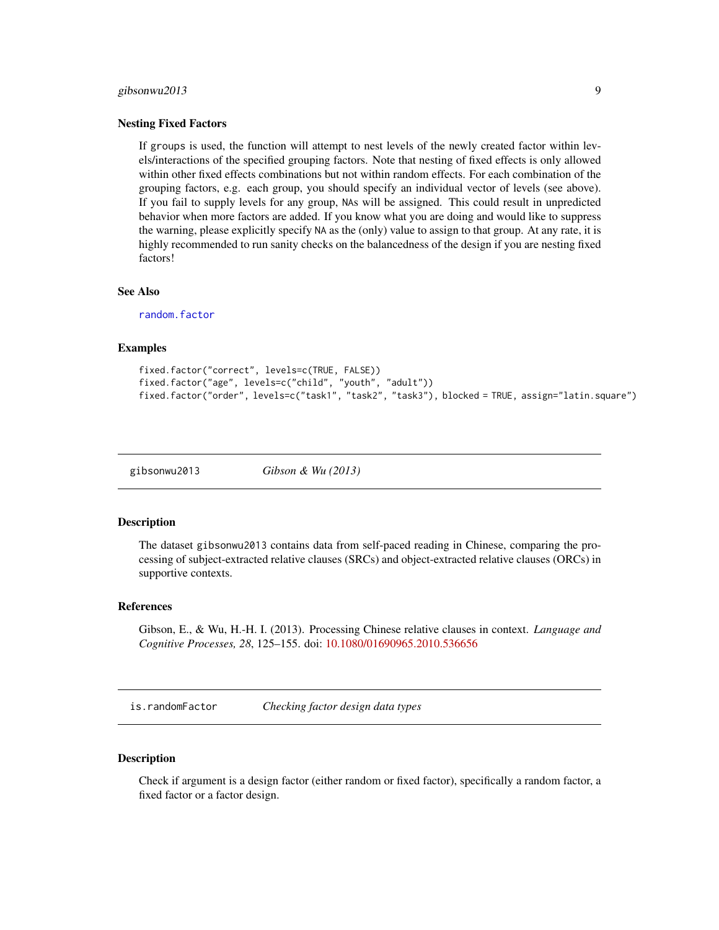#### <span id="page-8-0"></span>gibsonwu2013 9

#### Nesting Fixed Factors

If groups is used, the function will attempt to nest levels of the newly created factor within levels/interactions of the specified grouping factors. Note that nesting of fixed effects is only allowed within other fixed effects combinations but not within random effects. For each combination of the grouping factors, e.g. each group, you should specify an individual vector of levels (see above). If you fail to supply levels for any group, NAs will be assigned. This could result in unpredicted behavior when more factors are added. If you know what you are doing and would like to suppress the warning, please explicitly specify NA as the (only) value to assign to that group. At any rate, it is highly recommended to run sanity checks on the balancedness of the design if you are nesting fixed factors!

#### See Also

[random.factor](#page-13-1)

#### Examples

```
fixed.factor("correct", levels=c(TRUE, FALSE))
fixed.factor("age", levels=c("child", "youth", "adult"))
fixed.factor("order", levels=c("task1", "task2", "task3"), blocked = TRUE, assign="latin.square")
```
gibsonwu2013 *Gibson & Wu (2013)*

#### Description

The dataset gibsonwu2013 contains data from self-paced reading in Chinese, comparing the processing of subject-extracted relative clauses (SRCs) and object-extracted relative clauses (ORCs) in supportive contexts.

#### References

Gibson, E., & Wu, H.-H. I. (2013). Processing Chinese relative clauses in context. *Language and Cognitive Processes, 28*, 125–155. doi: [10.1080/01690965.2010.536656](https://doi.org/10.1080/01690965.2010.536656)

is.randomFactor *Checking factor design data types*

#### **Description**

Check if argument is a design factor (either random or fixed factor), specifically a random factor, a fixed factor or a factor design.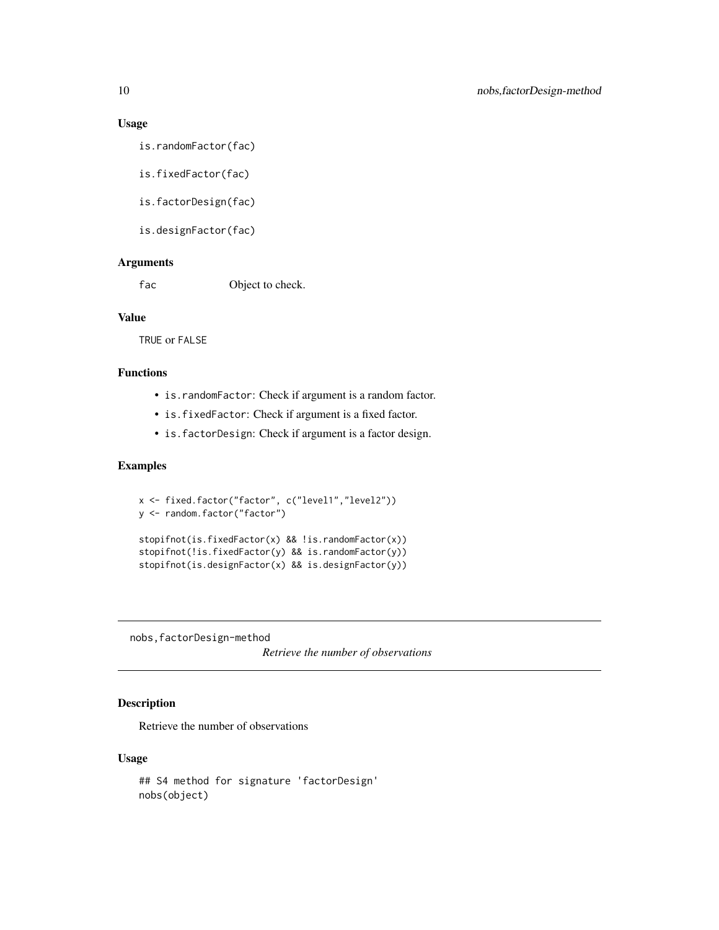#### Usage

is.randomFactor(fac)

is.fixedFactor(fac)

is.factorDesign(fac)

is.designFactor(fac)

#### Arguments

fac Object to check.

#### Value

TRUE or FALSE

#### Functions

- is.randomFactor: Check if argument is a random factor.
- is.fixedFactor: Check if argument is a fixed factor.
- is.factorDesign: Check if argument is a factor design.

#### Examples

```
x <- fixed.factor("factor", c("level1","level2"))
y <- random.factor("factor")
stopifnot(is.fixedFactor(x) && !is.randomFactor(x))
stopifnot(!is.fixedFactor(y) && is.randomFactor(y))
stopifnot(is.designFactor(x) && is.designFactor(y))
```
nobs,factorDesign-method

*Retrieve the number of observations*

#### Description

Retrieve the number of observations

#### Usage

```
## S4 method for signature 'factorDesign'
nobs(object)
```
<span id="page-9-0"></span>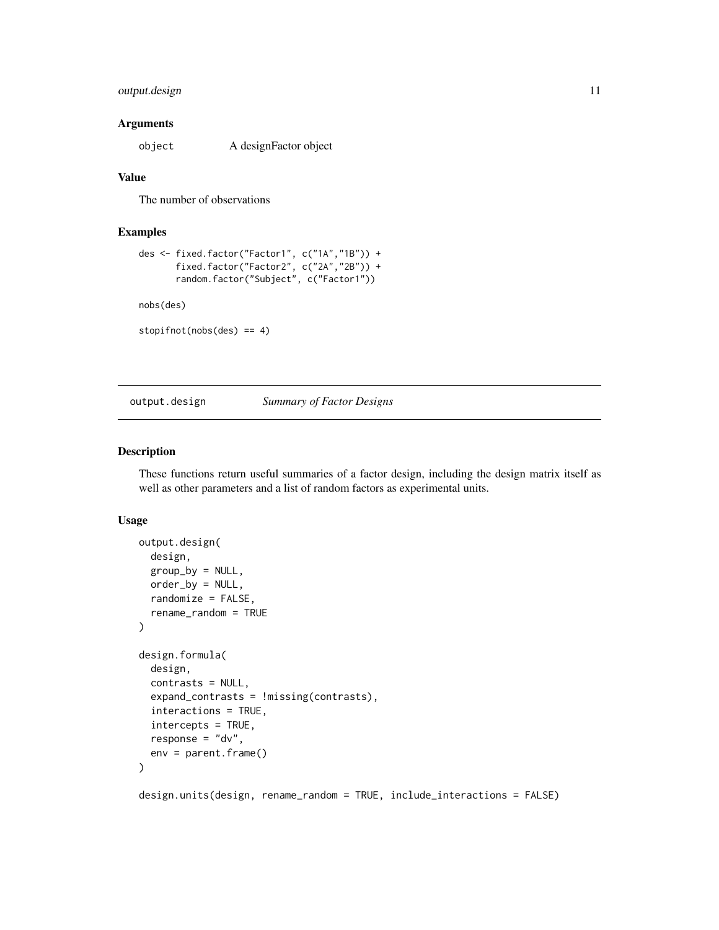#### <span id="page-10-0"></span>output.design 11

#### **Arguments**

object A designFactor object

#### Value

The number of observations

#### Examples

```
des <- fixed.factor("Factor1", c("1A","1B")) +
       fixed.factor("Factor2", c("2A","2B")) +
      random.factor("Subject", c("Factor1"))
```
nobs(des)

```
stopifnot(nobs(des) == 4)
```
<span id="page-10-2"></span>

#### output.design *Summary of Factor Designs*

#### <span id="page-10-1"></span>Description

These functions return useful summaries of a factor design, including the design matrix itself as well as other parameters and a list of random factors as experimental units.

#### Usage

```
output.design(
  design,
  group_by = NULL,order_by = NULL,
  randomize = FALSE,
  rename_random = TRUE
\mathcal{E}design.formula(
  design,
  contrasts = NULL,
  expand_contrasts = !missing(contrasts),
  interactions = TRUE,
  intercepts = TRUE,
  response = "dv",env = parent.frame()
)
```
design.units(design, rename\_random = TRUE, include\_interactions = FALSE)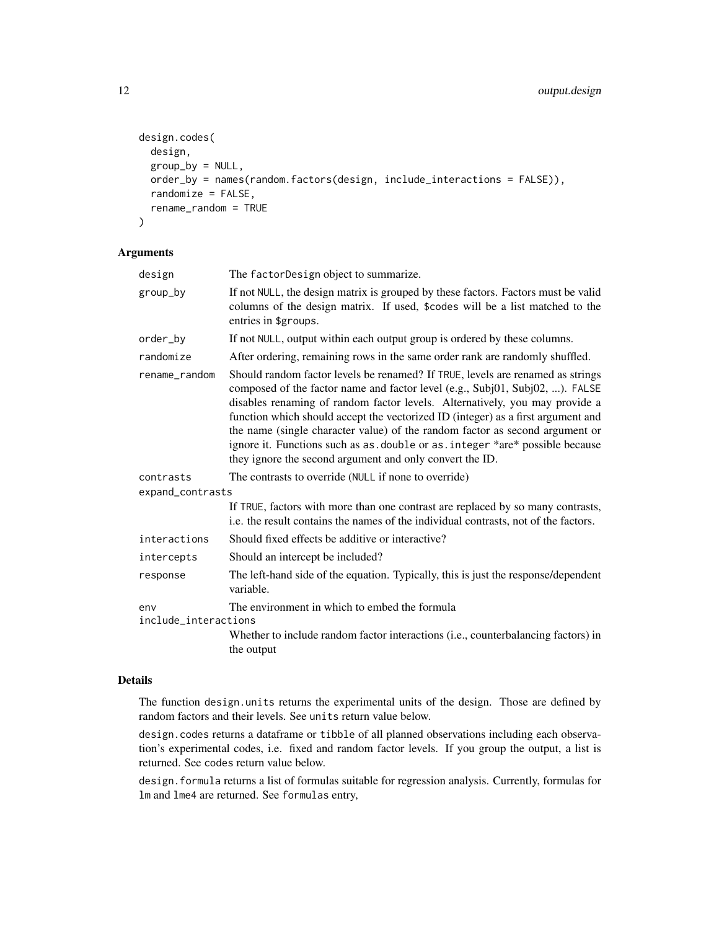```
design.codes(
 design,
 group_by = NULL,order_by = names(random.factors(design, include_interactions = FALSE)),
 randomize = FALSE,
 rename_random = TRUE
)
```
#### Arguments

| design                      | The factorDesign object to summarize.                                                                                                                                                                                                                                                                                                                                                                                                                                                                                                                          |
|-----------------------------|----------------------------------------------------------------------------------------------------------------------------------------------------------------------------------------------------------------------------------------------------------------------------------------------------------------------------------------------------------------------------------------------------------------------------------------------------------------------------------------------------------------------------------------------------------------|
| group_by                    | If not NULL, the design matrix is grouped by these factors. Factors must be valid<br>columns of the design matrix. If used, \$codes will be a list matched to the<br>entries in \$groups.                                                                                                                                                                                                                                                                                                                                                                      |
| order_by                    | If not NULL, output within each output group is ordered by these columns.                                                                                                                                                                                                                                                                                                                                                                                                                                                                                      |
| randomize                   | After ordering, remaining rows in the same order rank are randomly shuffled.                                                                                                                                                                                                                                                                                                                                                                                                                                                                                   |
| rename_random               | Should random factor levels be renamed? If TRUE, levels are renamed as strings<br>composed of the factor name and factor level (e.g., Subj01, Subj02, ). FALSE<br>disables renaming of random factor levels. Alternatively, you may provide a<br>function which should accept the vectorized ID (integer) as a first argument and<br>the name (single character value) of the random factor as second argument or<br>ignore it. Functions such as as. double or as. integer *are* possible because<br>they ignore the second argument and only convert the ID. |
| contrasts                   | The contrasts to override (NULL if none to override)                                                                                                                                                                                                                                                                                                                                                                                                                                                                                                           |
| expand_contrasts            |                                                                                                                                                                                                                                                                                                                                                                                                                                                                                                                                                                |
|                             | If TRUE, factors with more than one contrast are replaced by so many contrasts,<br>i.e. the result contains the names of the individual contrasts, not of the factors.                                                                                                                                                                                                                                                                                                                                                                                         |
| interactions                | Should fixed effects be additive or interactive?                                                                                                                                                                                                                                                                                                                                                                                                                                                                                                               |
| intercepts                  | Should an intercept be included?                                                                                                                                                                                                                                                                                                                                                                                                                                                                                                                               |
| response                    | The left-hand side of the equation. Typically, this is just the response/dependent<br>variable.                                                                                                                                                                                                                                                                                                                                                                                                                                                                |
| env<br>include_interactions | The environment in which to embed the formula                                                                                                                                                                                                                                                                                                                                                                                                                                                                                                                  |
|                             | Whether to include random factor interactions (i.e., counterbalancing factors) in<br>the output                                                                                                                                                                                                                                                                                                                                                                                                                                                                |

#### Details

The function design.units returns the experimental units of the design. Those are defined by random factors and their levels. See units return value below.

design.codes returns a dataframe or tibble of all planned observations including each observation's experimental codes, i.e. fixed and random factor levels. If you group the output, a list is returned. See codes return value below.

design.formula returns a list of formulas suitable for regression analysis. Currently, formulas for lm and lme4 are returned. See formulas entry,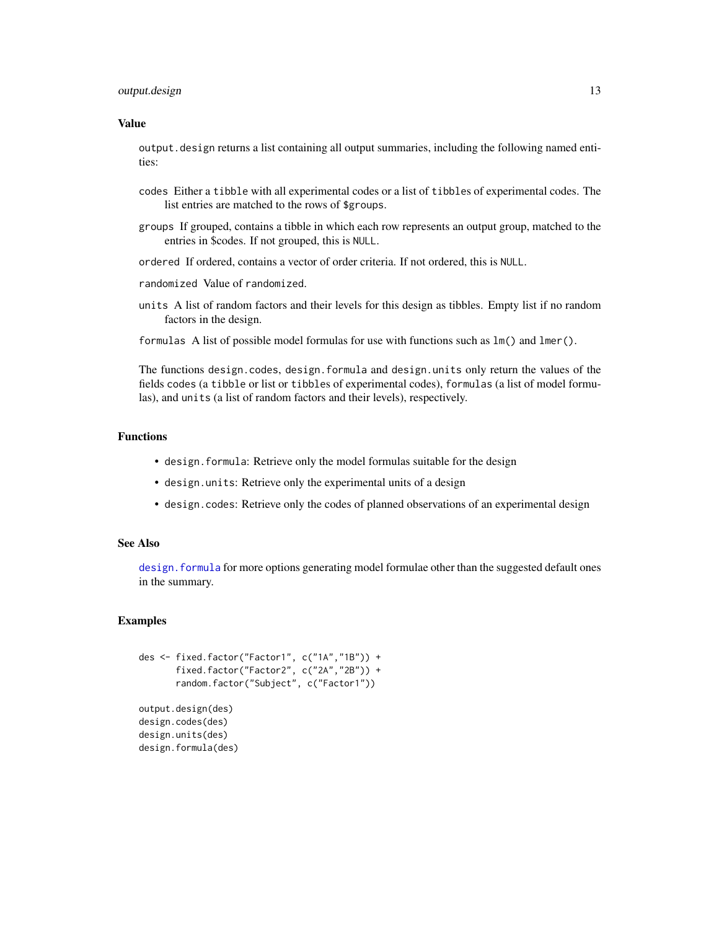#### <span id="page-12-0"></span>output.design 13

#### Value

output.design returns a list containing all output summaries, including the following named entities:

- codes Either a tibble with all experimental codes or a list of tibbles of experimental codes. The list entries are matched to the rows of \$groups.
- groups If grouped, contains a tibble in which each row represents an output group, matched to the entries in \$codes. If not grouped, this is NULL.
- ordered If ordered, contains a vector of order criteria. If not ordered, this is NULL.
- randomized Value of randomized.
- units A list of random factors and their levels for this design as tibbles. Empty list if no random factors in the design.
- formulas A list of possible model formulas for use with functions such as lm() and lmer().

The functions design.codes, design.formula and design.units only return the values of the fields codes (a tibble or list or tibbles of experimental codes), formulas (a list of model formulas), and units (a list of random factors and their levels), respectively.

#### Functions

- design.formula: Retrieve only the model formulas suitable for the design
- design.units: Retrieve only the experimental units of a design
- design.codes: Retrieve only the codes of planned observations of an experimental design

#### See Also

design. formula for more options generating model formulae other than the suggested default ones in the summary.

#### Examples

```
des <- fixed.factor("Factor1", c("1A","1B")) +
      fixed.factor("Factor2", c("2A","2B")) +
      random.factor("Subject", c("Factor1"))
output.design(des)
design.codes(des)
```

```
design.units(des)
design.formula(des)
```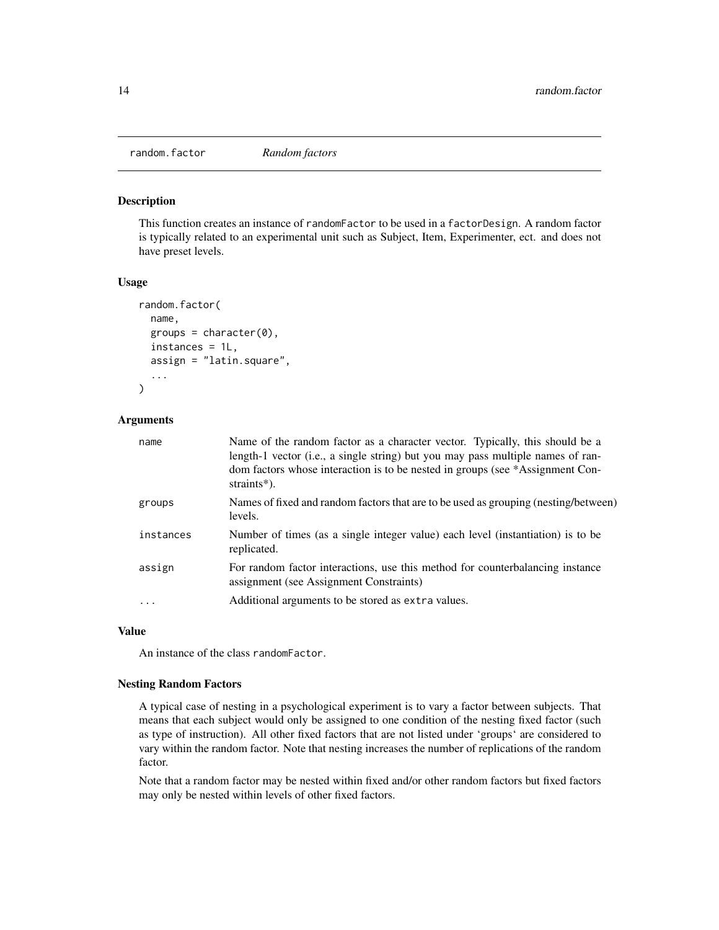<span id="page-13-1"></span><span id="page-13-0"></span>

#### Description

This function creates an instance of randomFactor to be used in a factorDesign. A random factor is typically related to an experimental unit such as Subject, Item, Experimenter, ect. and does not have preset levels.

#### Usage

```
random.factor(
 name,
 groups = character(0),
  instances = 1L,
  assign = "latin.square",
  ...
)
```
#### Arguments

| name      | Name of the random factor as a character vector. Typically, this should be a<br>length-1 vector (i.e., a single string) but you may pass multiple names of ran-<br>dom factors whose interaction is to be nested in groups (see *Assignment Con-<br>straints*). |
|-----------|-----------------------------------------------------------------------------------------------------------------------------------------------------------------------------------------------------------------------------------------------------------------|
| groups    | Names of fixed and random factors that are to be used as grouping (nesting/between)<br>levels.                                                                                                                                                                  |
| instances | Number of times (as a single integer value) each level (instantiation) is to be<br>replicated.                                                                                                                                                                  |
| assign    | For random factor interactions, use this method for counterbalancing instance<br>assignment (see Assignment Constraints)                                                                                                                                        |
| $\cdot$   | Additional arguments to be stored as extra values.                                                                                                                                                                                                              |

#### Value

An instance of the class randomFactor.

#### Nesting Random Factors

A typical case of nesting in a psychological experiment is to vary a factor between subjects. That means that each subject would only be assigned to one condition of the nesting fixed factor (such as type of instruction). All other fixed factors that are not listed under 'groups' are considered to vary within the random factor. Note that nesting increases the number of replications of the random factor.

Note that a random factor may be nested within fixed and/or other random factors but fixed factors may only be nested within levels of other fixed factors.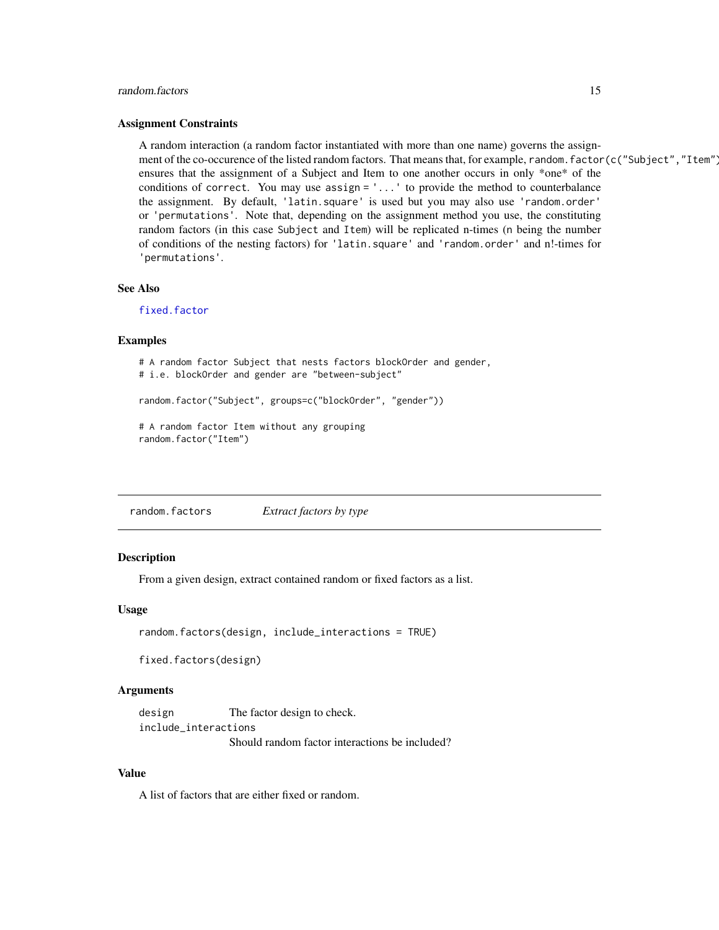#### <span id="page-14-0"></span>random.factors and 15

#### Assignment Constraints

A random interaction (a random factor instantiated with more than one name) governs the assignment of the co-occurence of the listed random factors. That means that, for example, random.factor(c("Subject","Item") ensures that the assignment of a Subject and Item to one another occurs in only \*one\* of the conditions of correct. You may use assign = '...' to provide the method to counterbalance the assignment. By default, 'latin.square' is used but you may also use 'random.order' or 'permutations'. Note that, depending on the assignment method you use, the constituting random factors (in this case Subject and Item) will be replicated n-times (n being the number of conditions of the nesting factors) for 'latin.square' and 'random.order' and n!-times for 'permutations'.

#### See Also

[fixed.factor](#page-6-1)

#### Examples

```
# A random factor Subject that nests factors blockOrder and gender,
# i.e. blockOrder and gender are "between-subject"
random.factor("Subject", groups=c("blockOrder", "gender"))
# A random factor Item without any grouping
random.factor("Item")
```
random.factors *Extract factors by type*

#### **Description**

From a given design, extract contained random or fixed factors as a list.

#### Usage

```
random.factors(design, include_interactions = TRUE)
```
fixed.factors(design)

#### Arguments

design The factor design to check. include\_interactions Should random factor interactions be included?

#### Value

A list of factors that are either fixed or random.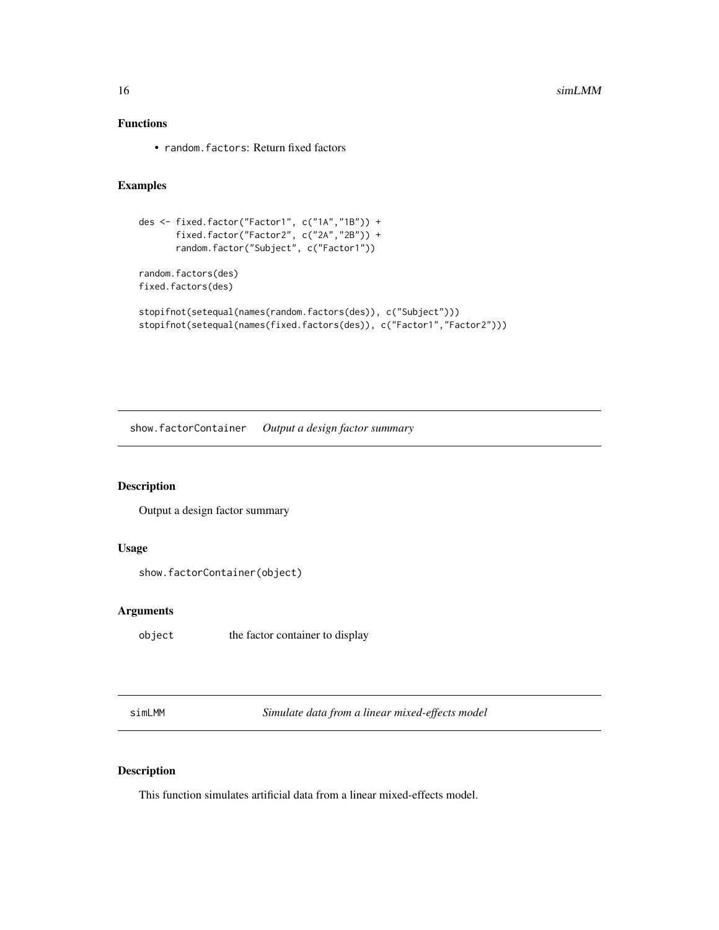#### <span id="page-15-0"></span>Functions

• random.factors: Return fixed factors

#### Examples

```
des <- fixed.factor("Factor1", c("1A","1B")) +
       fixed.factor("Factor2", c("2A","2B")) +
       random.factor("Subject", c("Factor1"))
random.factors(des)
fixed.factors(des)
stopifnot(setequal(names(random.factors(des)), c("Subject")))
stopifnot(setequal(names(fixed.factors(des)), c("Factor1","Factor2")))
```
show.factorContainer *Output a design factor summary*

#### Description

Output a design factor summary

#### Usage

```
show.factorContainer(object)
```
#### Arguments

object the factor container to display

simLMM *Simulate data from a linear mixed-effects model*

#### Description

This function simulates artificial data from a linear mixed-effects model.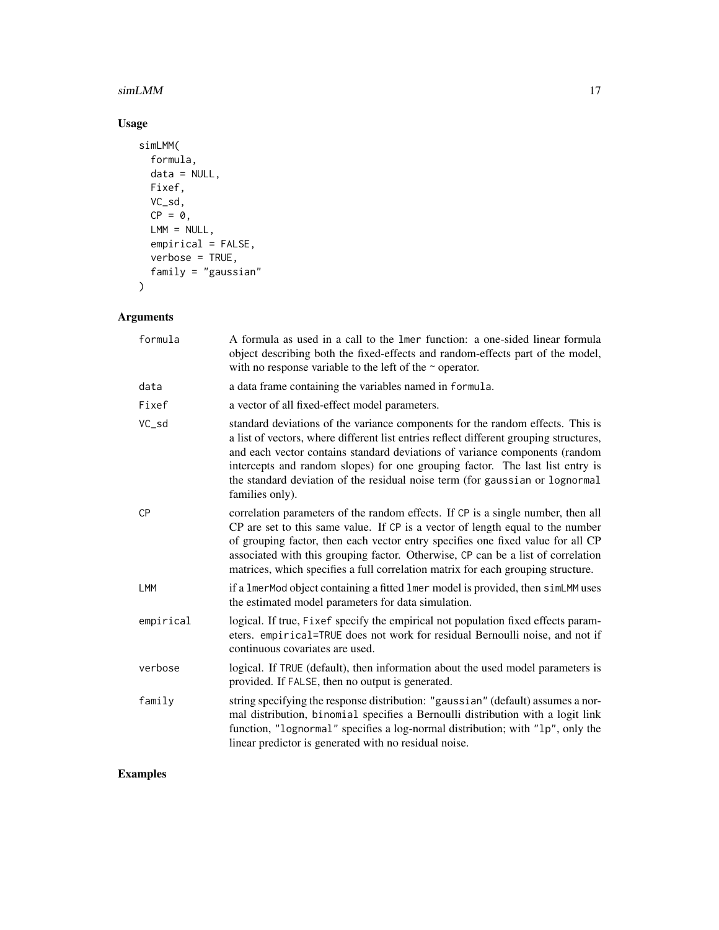#### $\sin$ LMM 17

#### Usage

```
simLMM(
  formula,
  data = NULL,Fixef,
  VC_sd,
  CP = 0,
  LMM = NULL,empirical = FALSE,
  verbose = TRUE,
  family = "gaussian"
\mathcal{L}
```
### Arguments

| A formula as used in a call to the 1 mer function: a one-sided linear formula<br>object describing both the fixed-effects and random-effects part of the model,<br>with no response variable to the left of the $\sim$ operator.                                                                                                                                                                                                            |
|---------------------------------------------------------------------------------------------------------------------------------------------------------------------------------------------------------------------------------------------------------------------------------------------------------------------------------------------------------------------------------------------------------------------------------------------|
| a data frame containing the variables named in formula.                                                                                                                                                                                                                                                                                                                                                                                     |
| a vector of all fixed-effect model parameters.                                                                                                                                                                                                                                                                                                                                                                                              |
| standard deviations of the variance components for the random effects. This is<br>a list of vectors, where different list entries reflect different grouping structures,<br>and each vector contains standard deviations of variance components (random<br>intercepts and random slopes) for one grouping factor. The last list entry is<br>the standard deviation of the residual noise term (for gaussian or lognormal<br>families only). |
| correlation parameters of the random effects. If CP is a single number, then all<br>CP are set to this same value. If CP is a vector of length equal to the number<br>of grouping factor, then each vector entry specifies one fixed value for all CP<br>associated with this grouping factor. Otherwise, CP can be a list of correlation<br>matrices, which specifies a full correlation matrix for each grouping structure.               |
| if a 1merMod object containing a fitted 1mer model is provided, then simLMM uses<br>the estimated model parameters for data simulation.                                                                                                                                                                                                                                                                                                     |
| logical. If true, Fixef specify the empirical not population fixed effects param-<br>eters. empirical=TRUE does not work for residual Bernoulli noise, and not if<br>continuous covariates are used.                                                                                                                                                                                                                                        |
| logical. If TRUE (default), then information about the used model parameters is<br>provided. If FALSE, then no output is generated.                                                                                                                                                                                                                                                                                                         |
| string specifying the response distribution: "gaussian" (default) assumes a nor-<br>mal distribution, binomial specifies a Bernoulli distribution with a logit link<br>function, "lognormal" specifies a log-normal distribution; with "lp", only the<br>linear predictor is generated with no residual noise.                                                                                                                              |
|                                                                                                                                                                                                                                                                                                                                                                                                                                             |

## Examples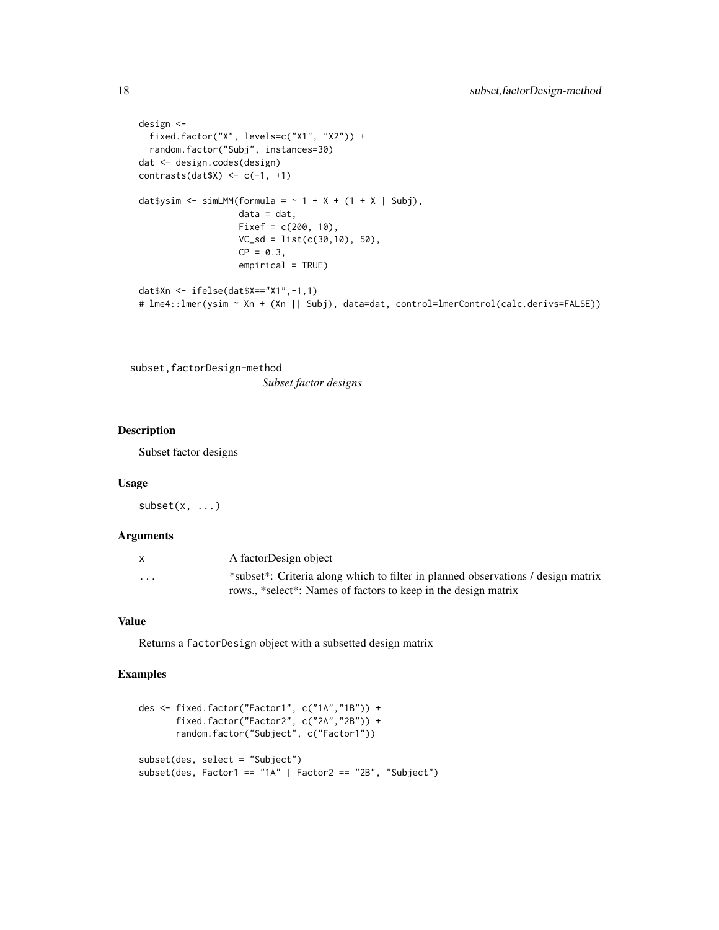```
design <-
  fixed.factor("X", levels=c("X1", "X2")) +
  random.factor("Subj", instances=30)
dat <- design.codes(design)
contrasts(datX) <- c(-1, +1)
dat$ysim <- simLMM(formula = \sim 1 + X + (1 + X | Subj),
                   data = dat,
                   Fixef = c(200, 10),
                   VC_s = list(c(30, 10), 50),CP = 0.3,
                   empirical = TRUE)
dat$Xn <- ifelse(dat$X=="X1",-1,1)
# lme4::lmer(ysim ~ Xn + (Xn || Subj), data=dat, control=lmerControl(calc.derivs=FALSE))
```
subset,factorDesign-method *Subset factor designs*

#### Description

Subset factor designs

#### Usage

 $subset(x, \ldots)$ 

#### Arguments

| X        | A factorDesign object                                                            |
|----------|----------------------------------------------------------------------------------|
| $\cdots$ | *subset*: Criteria along which to filter in planned observations / design matrix |
|          | rows., *select*: Names of factors to keep in the design matrix                   |

#### Value

Returns a factorDesign object with a subsetted design matrix

#### Examples

```
des <- fixed.factor("Factor1", c("1A","1B")) +
      fixed.factor("Factor2", c("2A","2B")) +
      random.factor("Subject", c("Factor1"))
subset(des, select = "Subject")
subset(des, Factor1 == "1A" | Factor2 == "2B", "Subject")
```
<span id="page-17-0"></span>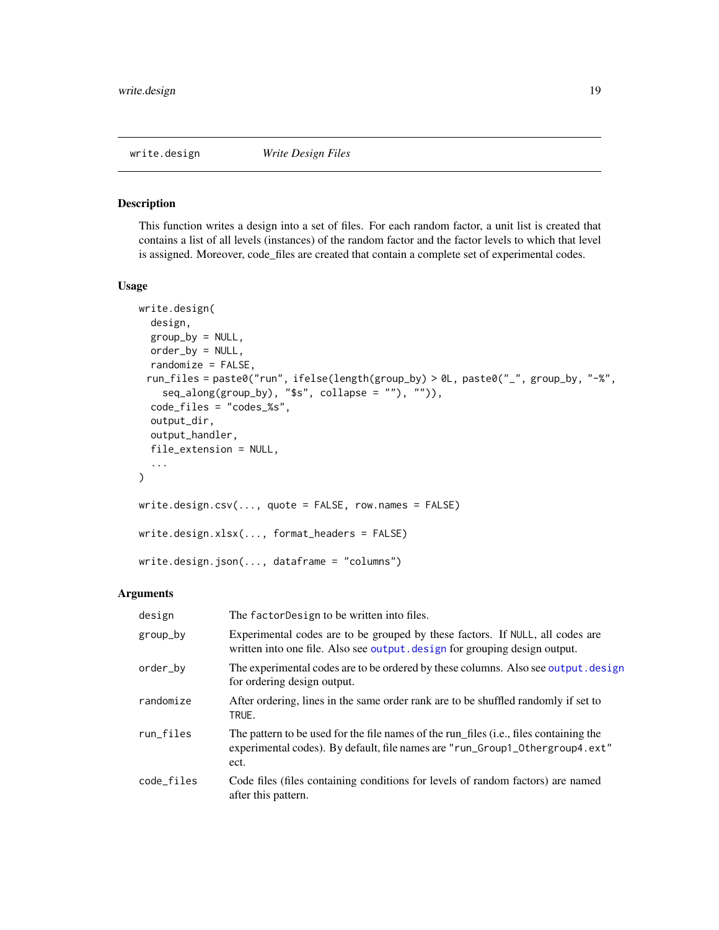<span id="page-18-1"></span><span id="page-18-0"></span>

#### Description

This function writes a design into a set of files. For each random factor, a unit list is created that contains a list of all levels (instances) of the random factor and the factor levels to which that level is assigned. Moreover, code\_files are created that contain a complete set of experimental codes.

#### Usage

```
write.design(
  design,
  group_by = NULL,order_by = NULL,
  randomize = FALSE,
 run_files = paste0("run", ifelse(length(group_by) > 0L, paste0("_", group_by, "-%",
    seq\_along(group_by), "$s", collapse = ""), "")),
  code_files = "codes_%s",
  output_dir,
  output_handler,
  file_extension = NULL,
  ...
\mathcal{L}write.design.csv(..., quote = FALSE, row.names = FALSE)
write.design.xlsx(..., format_headers = FALSE)
write.design.json(..., dataframe = "columns")
```
#### Arguments

| design     | The factor Design to be written into files.                                                                                                                                    |
|------------|--------------------------------------------------------------------------------------------------------------------------------------------------------------------------------|
| group_by   | Experimental codes are to be grouped by these factors. If NULL, all codes are<br>written into one file. Also see output.design for grouping design output.                     |
| order_by   | The experimental codes are to be ordered by these columns. Also see output. design<br>for ordering design output.                                                              |
| randomize  | After ordering, lines in the same order rank are to be shuffled randomly if set to<br>TRUE.                                                                                    |
| run_files  | The pattern to be used for the file names of the run_files (i.e., files containing the<br>experimental codes). By default, file names are "run_Group1_0thergroup4.ext"<br>ect. |
| code_files | Code files (files containing conditions for levels of random factors) are named<br>after this pattern.                                                                         |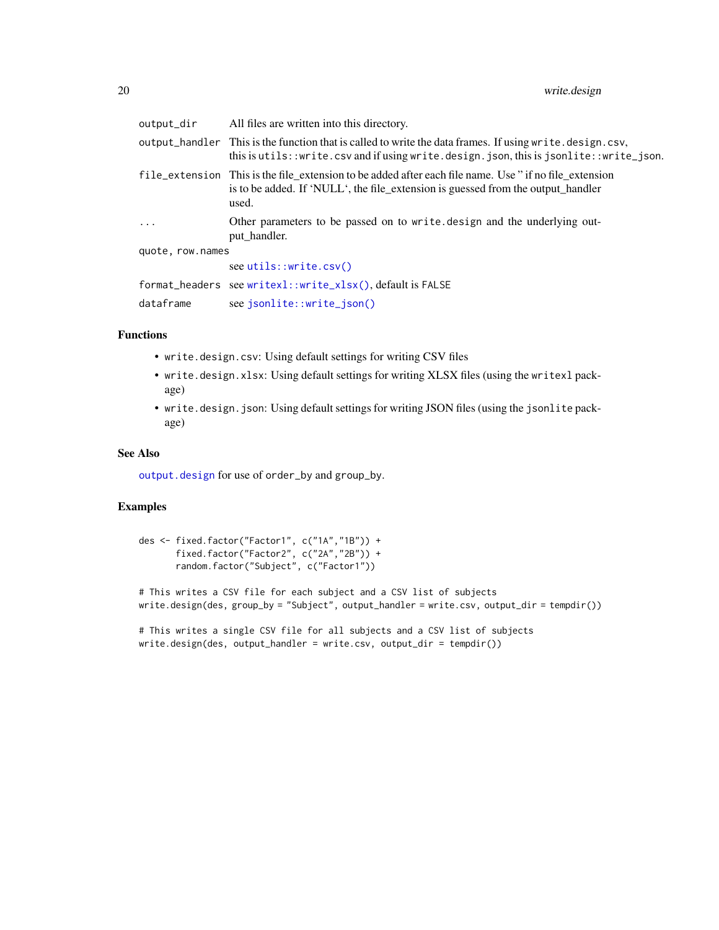<span id="page-19-0"></span>

| output_dir       | All files are written into this directory.                                                                                                                                                                |
|------------------|-----------------------------------------------------------------------------------------------------------------------------------------------------------------------------------------------------------|
|                  | output_handler This is the function that is called to write the data frames. If using write. design.csv,<br>this is utils:: $write.csv$ and if using write.design.json, this is jsonlite:: $write_j$ son. |
|                  | file_extension This is the file_extension to be added after each file name. Use " if no file_extension<br>is to be added. If 'NULL', the file_extension is guessed from the output_handler<br>used.       |
| $\cdots$         | Other parameters to be passed on to write design and the underlying out-<br>put_handler.                                                                                                                  |
| quote, row.names |                                                                                                                                                                                                           |
|                  | see <u>utils</u> : write.csv()                                                                                                                                                                            |
|                  | format_headers see writexl::write_xlsx(),default is FALSE                                                                                                                                                 |
| dataframe        | see jsonlite::write_json()                                                                                                                                                                                |

#### Functions

- write.design.csv: Using default settings for writing CSV files
- write.design.xlsx: Using default settings for writing XLSX files (using the writexl package)
- write.design.json: Using default settings for writing JSON files (using the jsonlite package)

#### See Also

[output.design](#page-10-2) for use of order\_by and group\_by.

#### Examples

```
des <- fixed.factor("Factor1", c("1A","1B")) +
      fixed.factor("Factor2", c("2A","2B")) +
      random.factor("Subject", c("Factor1"))
# This writes a CSV file for each subject and a CSV list of subjects
write.design(des, group_by = "Subject", output_handler = write.csv, output_dir = tempdir())
# This writes a single CSV file for all subjects and a CSV list of subjects
```
write.design(des, output\_handler = write.csv, output\_dir = tempdir())